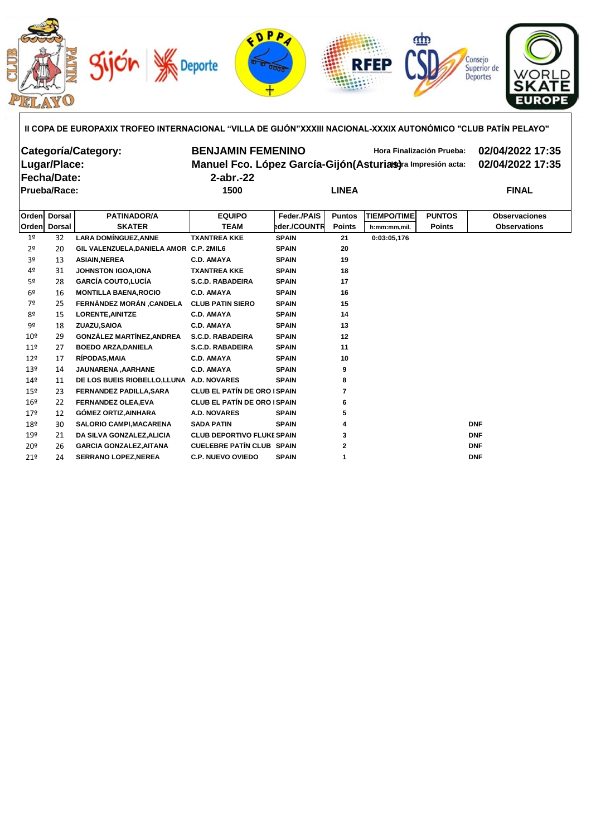

| II COPA DE EUROPAXIX TROFEO INTERNACIONAL "VILLA DE GIJÓN"XXXIII NACIONAL-XXXIX AUTONÓMICO "CLUB PATÍN PELAYO" |  |
|----------------------------------------------------------------------------------------------------------------|--|
|                                                                                                                |  |
|                                                                                                                |  |
|                                                                                                                |  |

| Categoría/Category:<br>Lugar/Place:<br>Fecha/Date:<br><b>Prueba/Race:</b> |               | <b>BENJAMIN FEMENINO</b><br>Manuel Fco. López García-Gijón (Asturias) ra Impresión acta:<br>$2$ -abr.-22<br>1500<br><b>LINEA</b> |                         |                     | <b>Hora Finalización Prueba:</b> | 02/04/2022 17:35<br>02/04/2022 17:35<br><b>FINAL</b> |               |                      |
|---------------------------------------------------------------------------|---------------|----------------------------------------------------------------------------------------------------------------------------------|-------------------------|---------------------|----------------------------------|------------------------------------------------------|---------------|----------------------|
| <b>Orden</b>                                                              | <b>Dorsal</b> | <b>PATINADOR/A</b>                                                                                                               | <b>EQUIPO</b>           | Feder / PAIS        | <b>Puntos</b>                    | <b>TIEMPO/TIME</b>                                   | <b>PUNTOS</b> | <b>Observaciones</b> |
| <b>Orden</b>                                                              | <b>Dorsal</b> | <b>SKATER</b>                                                                                                                    | <b>TEAM</b>             | <b>eder./COUNTR</b> | <b>Points</b>                    | h:mm:mm,mil.                                         | <b>Points</b> | <b>Observations</b>  |
| 1 <sup>°</sup>                                                            | 32            | <b>LARA DOMINGUEZ, ANNE</b>                                                                                                      | <b>TXANTREA KKE</b>     | <b>SPAIN</b>        | 21                               | 0:03:05,176                                          |               |                      |
| 2º                                                                        | 20            | GIL VALENZUELA, DANIELA AMOR C.P. 2MIL6                                                                                          |                         | <b>SPAIN</b>        | 20                               |                                                      |               |                      |
| 3º                                                                        | 13            | <b>ASIAIN, NEREA</b>                                                                                                             | <b>C.D. AMAYA</b>       | <b>SPAIN</b>        | 19                               |                                                      |               |                      |
| 4º                                                                        | 31            | <b>JOHNSTON IGOA, IONA</b>                                                                                                       | <b>TXANTREA KKE</b>     | <b>SPAIN</b>        | 18                               |                                                      |               |                      |
| 52                                                                        | 28            | <b>GARCÍA COUTO,LUCÍA</b>                                                                                                        | <b>S.C.D. RABADEIRA</b> | <b>SPAIN</b>        | 17                               |                                                      |               |                      |
| 6º                                                                        | 16            | <b>MONTILLA BAENA, ROCIO</b>                                                                                                     | <b>C.D. AMAYA</b>       | <b>SPAIN</b>        | 16                               |                                                      |               |                      |
| ᢇ                                                                         | n m           | FEDUÁNDEZ MODÁN, CANDELA                                                                                                         | ALLID DATIN AIFDA.      | COAIN               | 4 E .                            |                                                      |               |                      |

| 6 <sup>2</sup>  | 16 | <b>MONTILLA BAENA, ROCIO</b>             | <b>C.D. AMAYA</b>                   | <b>SPAIN</b> | 16           |            |
|-----------------|----|------------------------------------------|-------------------------------------|--------------|--------------|------------|
| 7º              | 25 | FERNÁNDEZ MORÁN , CANDELA                | <b>CLUB PATIN SIERO</b>             | <b>SPAIN</b> | 15           |            |
| 8º              | 15 | <b>LORENTE, AINITZE</b>                  | <b>C.D. AMAYA</b>                   | <b>SPAIN</b> | 14           |            |
| 9º              | 18 | ZUAZU.SAIOA                              | <b>C.D. AMAYA</b>                   | <b>SPAIN</b> | 13           |            |
| $10^{9}$        | 29 | <b>GONZÁLEZ MARTÍNEZ, ANDREA</b>         | <b>S.C.D. RABADEIRA</b>             | <b>SPAIN</b> | 12           |            |
| 11 <sup>°</sup> | 27 | <b>BOEDO ARZA, DANIELA</b>               | <b>S.C.D. RABADEIRA</b>             | <b>SPAIN</b> | 11           |            |
| $12^{\circ}$    | 17 | <b>RÍPODAS, MAIA</b>                     | <b>C.D. AMAYA</b>                   | <b>SPAIN</b> | 10           |            |
| 13 <sup>°</sup> | 14 | <b>JAUNARENA, AARHANE</b>                | <b>C.D. AMAYA</b>                   | <b>SPAIN</b> | 9            |            |
| 14º             | 11 | DE LOS BUEIS RIOBELLO.LLUNA A.D. NOVARES |                                     | <b>SPAIN</b> | 8            |            |
| 15 <sup>°</sup> | 23 | <b>FERNANDEZ PADILLA, SARA</b>           | <b>CLUB EL PATÍN DE ORO ISPAIN</b>  |              |              |            |
| 16 <sup>°</sup> | 22 | <b>FERNANDEZ OLEA,EVA</b>                | <b>CLUB EL PATÍN DE ORO I SPAIN</b> |              | 6            |            |
| 17º             | 12 | <b>GOMEZ ORTIZ.AINHARA</b>               | A.D. NOVARES                        | <b>SPAIN</b> | 5            |            |
| 18º             | 30 | <b>SALORIO CAMPI, MACARENA</b>           | <b>SADA PATIN</b>                   | <b>SPAIN</b> | 4            | <b>DNF</b> |
| 19º             | 21 | DA SILVA GONZALEZ, ALICIA                | <b>CLUB DEPORTIVO FLUKE SPAIN</b>   |              | 3            | <b>DNF</b> |
| 20 <sup>°</sup> | 26 | <b>GARCIA GONZALEZ, AITANA</b>           | <b>CUELEBRE PATÍN CLUB SPAIN</b>    |              | $\mathbf{2}$ | <b>DNF</b> |
| 21 <sup>9</sup> | 24 | <b>SERRANO LOPEZ, NEREA</b>              | <b>C.P. NUEVO OVIEDO</b>            | <b>SPAIN</b> |              | <b>DNF</b> |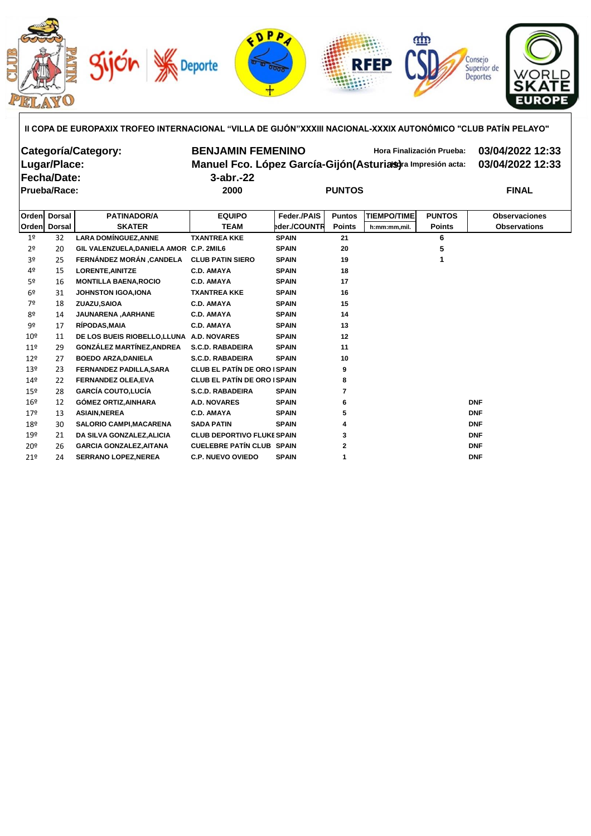

**II COPA DE EUROPA XIX TROFEO INTERNACIONAL "VILLA DE GIJÓN" XXXIII NACIONAL-XXXIX AUTONÓMICO "CLUB PATÍN PELAYO"**

| Categoría/Category:<br>Lugar/Place:<br> Fecha/Date:<br>Prueba/Race: |               |                                           | <b>BENJAMIN FEMENINO</b><br>Manuel Fco. López García-Gijón (Asturias) ra Impresión acta:<br>$3$ -abr. $-22$<br>2000 | 03/04/2022 12:33<br>03/04/2022 12:33<br><b>FINAL</b> |               |                    |               |                      |
|---------------------------------------------------------------------|---------------|-------------------------------------------|---------------------------------------------------------------------------------------------------------------------|------------------------------------------------------|---------------|--------------------|---------------|----------------------|
| <b>Orden</b>                                                        | <b>Dorsal</b> | <b>PATINADOR/A</b>                        | <b>EQUIPO</b>                                                                                                       | Feder./PAIS                                          | <b>Puntos</b> | <b>TIEMPO/TIME</b> | <b>PUNTOS</b> | <b>Observaciones</b> |
| <b>Orden</b>                                                        | <b>Dorsal</b> | <b>SKATER</b>                             | <b>TEAM</b>                                                                                                         | eder./COUNTR                                         | <b>Points</b> | h:mm:mm,mil.       | <b>Points</b> | <b>Observations</b>  |
| 1 <sup>o</sup>                                                      | 32            | <b>LARA DOMÍNGUEZ, ANNE</b>               | <b>TXANTREA KKE</b>                                                                                                 | <b>SPAIN</b>                                         | 21            |                    | 6             |                      |
| 2 <sup>o</sup>                                                      | 20            | GIL VALENZUELA, DANIELA AMOR C.P. 2MIL6   |                                                                                                                     | <b>SPAIN</b>                                         | 20            |                    | 5             |                      |
| 3º                                                                  | 25            | <b>FERNÁNDEZ MORÁN ,CANDELA</b>           | <b>CLUB PATIN SIERO</b>                                                                                             | <b>SPAIN</b>                                         | 19            |                    |               |                      |
| 4º                                                                  | 15            | <b>LORENTE, AINITZE</b>                   | <b>C.D. AMAYA</b>                                                                                                   | <b>SPAIN</b>                                         | 18            |                    |               |                      |
| 5 <sup>o</sup>                                                      | 16            | <b>MONTILLA BAENA, ROCIO</b>              | <b>C.D. AMAYA</b>                                                                                                   | <b>SPAIN</b>                                         | 17            |                    |               |                      |
| 6 <sup>°</sup>                                                      | 31            | <b>JOHNSTON IGOA, IONA</b>                | <b>TXANTREA KKE</b>                                                                                                 | <b>SPAIN</b>                                         | 16            |                    |               |                      |
| 7º                                                                  | 18            | ZUAZU, SAIOA                              | <b>C.D. AMAYA</b>                                                                                                   | <b>SPAIN</b>                                         | 15            |                    |               |                      |
| 8º                                                                  | 14            | JAUNARENA, AARHANE                        | <b>C.D. AMAYA</b>                                                                                                   | <b>SPAIN</b>                                         | 14            |                    |               |                      |
| 9º                                                                  | 17            | RIPODAS, MAIA                             | <b>C.D. AMAYA</b>                                                                                                   | <b>SPAIN</b>                                         | 13            |                    |               |                      |
| 10 <sup>°</sup>                                                     | 11            | DE LOS BUEIS RIOBELLO, LLUNA A.D. NOVARES |                                                                                                                     | <b>SPAIN</b>                                         | 12            |                    |               |                      |
| 11 <sup>°</sup>                                                     | 29            | <b>GONZÁLEZ MARTÍNEZ, ANDREA</b>          | <b>S.C.D. RABADEIRA</b>                                                                                             | <b>SPAIN</b>                                         | 11            |                    |               |                      |
| 12 <sup>°</sup>                                                     | 27            | <b>BOEDO ARZA, DANIELA</b>                | <b>S.C.D. RABADEIRA</b>                                                                                             | <b>SPAIN</b>                                         | 10            |                    |               |                      |
| 13º                                                                 | 23            | FERNANDEZ PADILLA, SARA                   | <b>CLUB EL PATÍN DE ORO ISPAIN</b>                                                                                  |                                                      | 9             |                    |               |                      |
| 14º                                                                 | 22            | <b>FERNANDEZ OLEA.EVA</b>                 | <b>CLUB EL PATÍN DE ORO ISPAIN</b>                                                                                  |                                                      | 8             |                    |               |                      |

16º 12 **GÓMEZ ORTIZ,AINHARA A.D. NOVARES SPAIN 6 DNF** 17º 13 **ASIAIN,NEREA C.D. AMAYA SPAIN 5 DNF** 18º 30 **SALORIO CAMPI,MACARENA SADA PATIN SPAIN 4 DNF** 19º 21 **DA SILVA GONZALEZ,ALICIA CLUB DEPORTIVO FLUKESPAIN 3 DNF** 20º 26 **GARCIA GONZALEZ,AITANA CUELEBRE PATÍN CLUB SPAIN 2 DNF** 21º 24 **SERRANO LOPEZ,NEREA C.P. NUEVO OVIEDO SPAIN 1 DNF**

15º 28 **GARCÍA COUTO,LUCÍA S.C.D. RABADEIRA SPAIN 7**